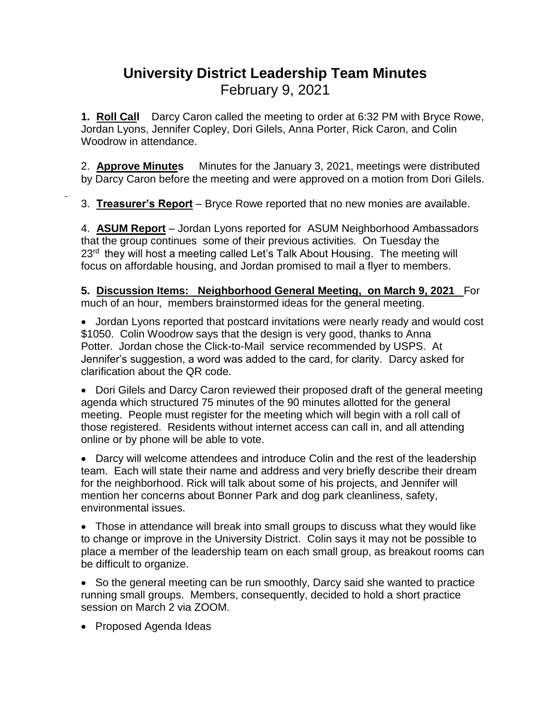## **University District Leadership Team Minutes** February 9, 2021

**1. Roll Call** Darcy Caron called the meeting to order at 6:32 PM with Bryce Rowe, Jordan Lyons, Jennifer Copley, Dori Gilels, Anna Porter, Rick Caron, and Colin Woodrow in attendance.

2. **Approve Minutes** Minutes for the January 3, 2021, meetings were distributed by Darcy Caron before the meeting and were approved on a motion from Dori Gilels.

3. **Treasurer's Report** – Bryce Rowe reported that no new monies are available.

4. **ASUM Report** – Jordan Lyons reported for ASUM Neighborhood Ambassadors that the group continues some of their previous activities. On Tuesday the 23<sup>rd</sup> they will host a meeting called Let's Talk About Housing. The meeting will focus on affordable housing, and Jordan promised to mail a flyer to members.

**5. Discussion Items: Neighborhood General Meeting, on March 9, 2021** For much of an hour, members brainstormed ideas for the general meeting.

 Jordan Lyons reported that postcard invitations were nearly ready and would cost \$1050. Colin Woodrow says that the design is very good, thanks to Anna Potter. Jordan chose the Click-to-Mail service recommended by USPS. At Jennifer's suggestion, a word was added to the card, for clarity. Darcy asked for clarification about the QR code.

• Dori Gilels and Darcy Caron reviewed their proposed draft of the general meeting agenda which structured 75 minutes of the 90 minutes allotted for the general meeting. People must register for the meeting which will begin with a roll call of those registered. Residents without internet access can call in, and all attending online or by phone will be able to vote.

 Darcy will welcome attendees and introduce Colin and the rest of the leadership team. Each will state their name and address and very briefly describe their dream for the neighborhood. Rick will talk about some of his projects, and Jennifer will mention her concerns about Bonner Park and dog park cleanliness, safety, environmental issues.

 Those in attendance will break into small groups to discuss what they would like to change or improve in the University District. Colin says it may not be possible to place a member of the leadership team on each small group, as breakout rooms can be difficult to organize.

• So the general meeting can be run smoothly, Darcy said she wanted to practice running small groups. Members, consequently, decided to hold a short practice session on March 2 via ZOOM.

• Proposed Agenda Ideas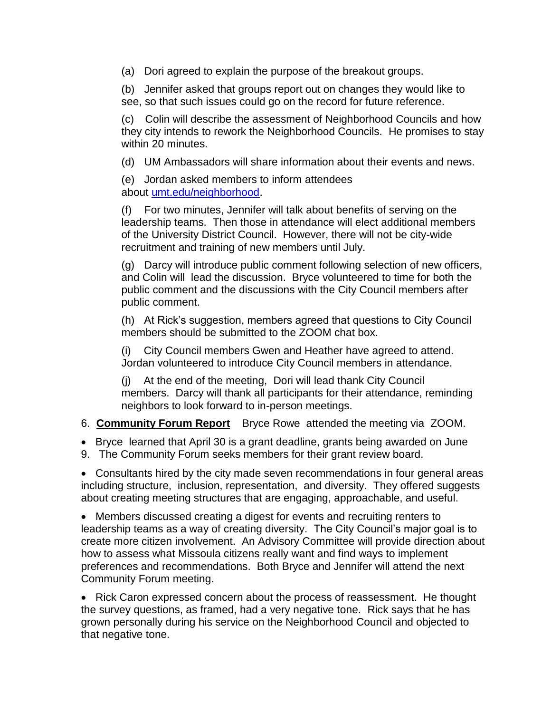(a) Dori agreed to explain the purpose of the breakout groups.

(b) Jennifer asked that groups report out on changes they would like to see, so that such issues could go on the record for future reference.

(c) Colin will describe the assessment of Neighborhood Councils and how they city intends to rework the Neighborhood Councils. He promises to stay within 20 minutes.

(d) UM Ambassadors will share information about their events and news.

(e) Jordan asked members to inform attendees about [umt.edu/neighborhood.](mailto:umt.edu/neighborhood)

(f) For two minutes, Jennifer will talk about benefits of serving on the leadership teams. Then those in attendance will elect additional members of the University District Council. However, there will not be city-wide recruitment and training of new members until July.

(g) Darcy will introduce public comment following selection of new officers, and Colin will lead the discussion. Bryce volunteered to time for both the public comment and the discussions with the City Council members after public comment.

(h) At Rick's suggestion, members agreed that questions to City Council members should be submitted to the ZOOM chat box.

(i) City Council members Gwen and Heather have agreed to attend. Jordan volunteered to introduce City Council members in attendance.

(j) At the end of the meeting, Dori will lead thank City Council members. Darcy will thank all participants for their attendance, reminding neighbors to look forward to in-person meetings.

6. **Community Forum Report** Bryce Rowe attended the meeting via ZOOM.

 Bryce learned that April 30 is a grant deadline, grants being awarded on June 9. The Community Forum seeks members for their grant review board.

 Consultants hired by the city made seven recommendations in four general areas including structure, inclusion, representation, and diversity. They offered suggests about creating meeting structures that are engaging, approachable, and useful.

 Members discussed creating a digest for events and recruiting renters to leadership teams as a way of creating diversity. The City Council's major goal is to create more citizen involvement. An Advisory Committee will provide direction about how to assess what Missoula citizens really want and find ways to implement preferences and recommendations. Both Bryce and Jennifer will attend the next Community Forum meeting.

• Rick Caron expressed concern about the process of reassessment. He thought the survey questions, as framed, had a very negative tone. Rick says that he has grown personally during his service on the Neighborhood Council and objected to that negative tone.